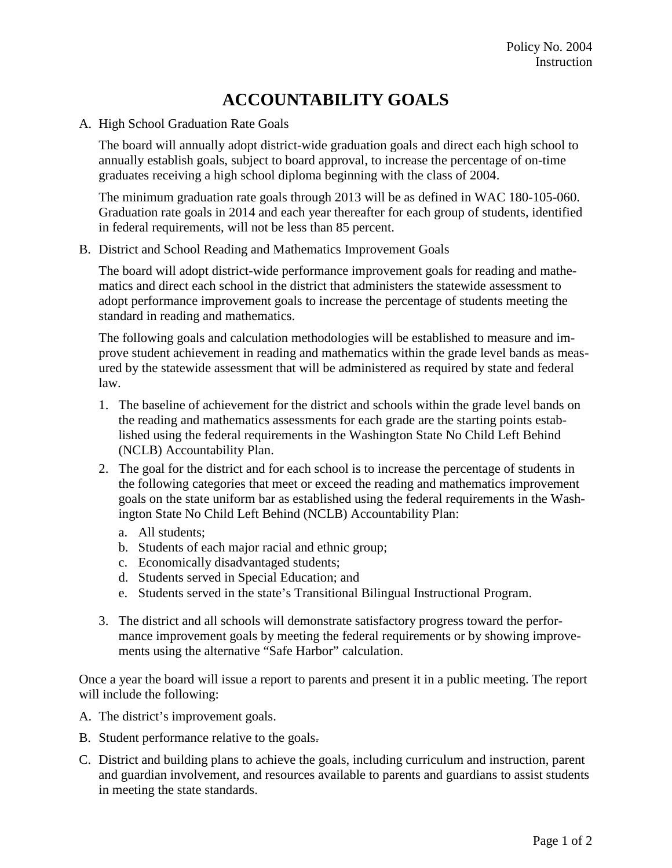## **ACCOUNTABILITY GOALS**

A. High School Graduation Rate Goals

The board will annually adopt district-wide graduation goals and direct each high school to annually establish goals, subject to board approval, to increase the percentage of on-time graduates receiving a high school diploma beginning with the class of 2004.

The minimum graduation rate goals through 2013 will be as defined in WAC 180-105-060. Graduation rate goals in 2014 and each year thereafter for each group of students, identified in federal requirements, will not be less than 85 percent.

B. District and School Reading and Mathematics Improvement Goals

The board will adopt district-wide performance improvement goals for reading and mathematics and direct each school in the district that administers the statewide assessment to adopt performance improvement goals to increase the percentage of students meeting the standard in reading and mathematics.

The following goals and calculation methodologies will be established to measure and improve student achievement in reading and mathematics within the grade level bands as measured by the statewide assessment that will be administered as required by state and federal law.

- 1. The baseline of achievement for the district and schools within the grade level bands on the reading and mathematics assessments for each grade are the starting points established using the federal requirements in the Washington State No Child Left Behind (NCLB) Accountability Plan.
- 2. The goal for the district and for each school is to increase the percentage of students in the following categories that meet or exceed the reading and mathematics improvement goals on the state uniform bar as established using the federal requirements in the Washington State No Child Left Behind (NCLB) Accountability Plan:
	- a. All students;
	- b. Students of each major racial and ethnic group;
	- c. Economically disadvantaged students;
	- d. Students served in Special Education; and
	- e. Students served in the state's Transitional Bilingual Instructional Program.
- 3. The district and all schools will demonstrate satisfactory progress toward the performance improvement goals by meeting the federal requirements or by showing improvements using the alternative "Safe Harbor" calculation.

Once a year the board will issue a report to parents and present it in a public meeting. The report will include the following:

- A. The district's improvement goals.
- B. Student performance relative to the goals.
- C. District and building plans to achieve the goals, including curriculum and instruction, parent and guardian involvement, and resources available to parents and guardians to assist students in meeting the state standards.